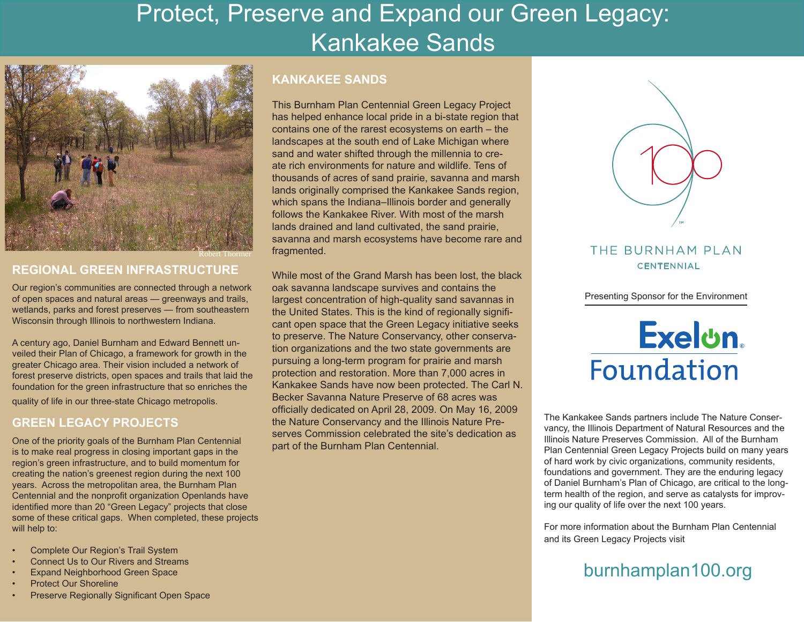# Protect, Preserve and Expand our Green Legacy: Kankakee Sands



#### Robert Thormer

### **REGIONAL GREEN INFRASTRUCTURE**

Our region's communities are connected through a network of open spaces and natural areas — greenways and trails, wetlands, parks and forest preserves — from southeastern Wisconsin through Illinois to northwestern Indiana.

A century ago, Daniel Burnham and Edward Bennett unveiled their Plan of Chicago, a framework for growth in the greater Chicago area. Their vision included a network of forest preserve districts, open spaces and trails that laid the foundation for the green infrastructure that so enriches the

quality of life in our three-state Chicago metropolis.

## **GREEN LEGACY PROJECTS**

One of the priority goals of the Burnham Plan Centennial is to make real progress in closing important gaps in the region's green infrastructure, and to build momentum for creating the nation's greenest region during the next 100 years. Across the metropolitan area, the Burnham Plan Centennial and the nonprofit organization Openlands have identified more than 20 "Green Legacy" projects that close some of these critical gaps. When completed, these projects will help to:

- Complete Our Region's Trail System
- Connect Us to Our Rivers and Streams
- Expand Neighborhood Green Space
- Protect Our Shoreline
- Preserve Regionally Significant Open Space

### **KANKAKEE SANDS**

This Burnham Plan Centennial Green Legacy Project has helped enhance local pride in a bi-state region that contains one of the rarest ecosystems on earth – the landscapes at the south end of Lake Michigan where sand and water shifted through the millennia to create rich environments for nature and wildlife. Tens of thousands of acres of sand prairie, savanna and marsh lands originally comprised the Kankakee Sands region, which spans the Indiana–Illinois border and generally follows the Kankakee River. With most of the marsh lands drained and land cultivated, the sand prairie, savanna and marsh ecosystems have become rare and fragmented.

While most of the Grand Marsh has been lost, the black oak savanna landscape survives and contains the largest concentration of high-quality sand savannas in the United States. This is the kind of regionally significant open space that the Green Legacy initiative seeks to preserve. The Nature Conservancy, other conservation organizations and the two state governments are pursuing a long-term program for prairie and marsh protection and restoration. More than 7,000 acres in Kankakee Sands have now been protected. The Carl N. Becker Savanna Nature Preserve of 68 acres was officially dedicated on April 28, 2009. On May 16, 2009 the Nature Conservancy and the Illinois Nature Preserves Commission celebrated the site's dedication as part of the Burnham Plan Centennial.



## THE BURNHAM PLAN **CENTENNIAL**

Presenting Sponsor for the Environment

# Exelon. Foundation

The Kankakee Sands partners include The Nature Conservancy, the Illinois Department of Natural Resources and the Illinois Nature Preserves Commission. All of the Burnham Plan Centennial Green Legacy Projects build on many years of hard work by civic organizations, community residents, foundations and government. They are the enduring legacy of Daniel Burnham's Plan of Chicago, are critical to the longterm health of the region, and serve as catalysts for improving our quality of life over the next 100 years.

For more information about the Burnham Plan Centennial and its Green Legacy Projects visit

# burnhamplan100.org